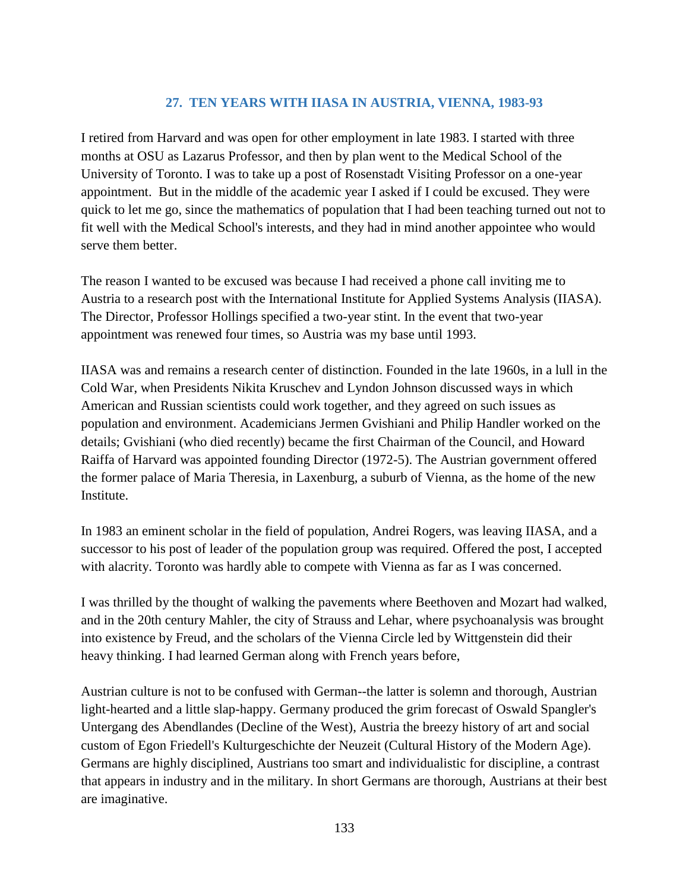## **27. TEN YEARS WITH IIASA IN AUSTRIA, VIENNA, 1983-93**

I retired from Harvard and was open for other employment in late 1983. I started with three months at OSU as Lazarus Professor, and then by plan went to the Medical School of the University of Toronto. I was to take up a post of Rosenstadt Visiting Professor on a one-year appointment. But in the middle of the academic year I asked if I could be excused. They were quick to let me go, since the mathematics of population that I had been teaching turned out not to fit well with the Medical School's interests, and they had in mind another appointee who would serve them better.

The reason I wanted to be excused was because I had received a phone call inviting me to Austria to a research post with the International Institute for Applied Systems Analysis (IIASA). The Director, Professor Hollings specified a two-year stint. In the event that two-year appointment was renewed four times, so Austria was my base until 1993.

IIASA was and remains a research center of distinction. Founded in the late 1960s, in a lull in the Cold War, when Presidents Nikita Kruschev and Lyndon Johnson discussed ways in which American and Russian scientists could work together, and they agreed on such issues as population and environment. Academicians Jermen Gvishiani and Philip Handler worked on the details; Gvishiani (who died recently) became the first Chairman of the Council, and Howard Raiffa of Harvard was appointed founding Director (1972-5). The Austrian government offered the former palace of Maria Theresia, in Laxenburg, a suburb of Vienna, as the home of the new Institute.

In 1983 an eminent scholar in the field of population, Andrei Rogers, was leaving IIASA, and a successor to his post of leader of the population group was required. Offered the post, I accepted with alacrity. Toronto was hardly able to compete with Vienna as far as I was concerned.

I was thrilled by the thought of walking the pavements where Beethoven and Mozart had walked, and in the 20th century Mahler, the city of Strauss and Lehar, where psychoanalysis was brought into existence by Freud, and the scholars of the Vienna Circle led by Wittgenstein did their heavy thinking. I had learned German along with French years before,

Austrian culture is not to be confused with German--the latter is solemn and thorough, Austrian light-hearted and a little slap-happy. Germany produced the grim forecast of Oswald Spangler's Untergang des Abendlandes (Decline of the West), Austria the breezy history of art and social custom of Egon Friedell's Kulturgeschichte der Neuzeit (Cultural History of the Modern Age). Germans are highly disciplined, Austrians too smart and individualistic for discipline, a contrast that appears in industry and in the military. In short Germans are thorough, Austrians at their best are imaginative.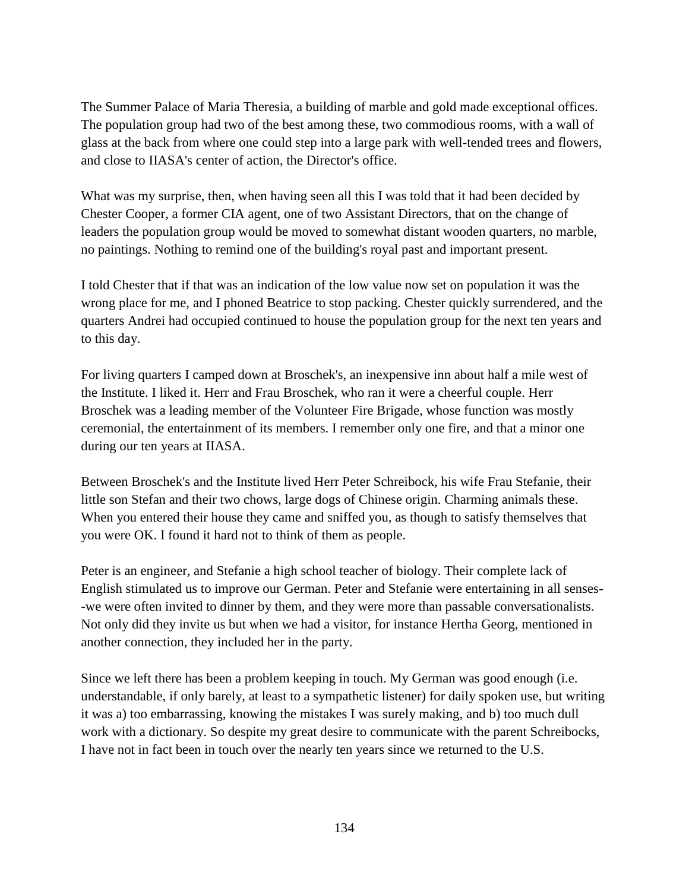The Summer Palace of Maria Theresia, a building of marble and gold made exceptional offices. The population group had two of the best among these, two commodious rooms, with a wall of glass at the back from where one could step into a large park with well-tended trees and flowers, and close to IIASA's center of action, the Director's office.

What was my surprise, then, when having seen all this I was told that it had been decided by Chester Cooper, a former CIA agent, one of two Assistant Directors, that on the change of leaders the population group would be moved to somewhat distant wooden quarters, no marble, no paintings. Nothing to remind one of the building's royal past and important present.

I told Chester that if that was an indication of the low value now set on population it was the wrong place for me, and I phoned Beatrice to stop packing. Chester quickly surrendered, and the quarters Andrei had occupied continued to house the population group for the next ten years and to this day.

For living quarters I camped down at Broschek's, an inexpensive inn about half a mile west of the Institute. I liked it. Herr and Frau Broschek, who ran it were a cheerful couple. Herr Broschek was a leading member of the Volunteer Fire Brigade, whose function was mostly ceremonial, the entertainment of its members. I remember only one fire, and that a minor one during our ten years at IIASA.

Between Broschek's and the Institute lived Herr Peter Schreibock, his wife Frau Stefanie, their little son Stefan and their two chows, large dogs of Chinese origin. Charming animals these. When you entered their house they came and sniffed you, as though to satisfy themselves that you were OK. I found it hard not to think of them as people.

Peter is an engineer, and Stefanie a high school teacher of biology. Their complete lack of English stimulated us to improve our German. Peter and Stefanie were entertaining in all senses- -we were often invited to dinner by them, and they were more than passable conversationalists. Not only did they invite us but when we had a visitor, for instance Hertha Georg, mentioned in another connection, they included her in the party.

Since we left there has been a problem keeping in touch. My German was good enough (i.e. understandable, if only barely, at least to a sympathetic listener) for daily spoken use, but writing it was a) too embarrassing, knowing the mistakes I was surely making, and b) too much dull work with a dictionary. So despite my great desire to communicate with the parent Schreibocks, I have not in fact been in touch over the nearly ten years since we returned to the U.S.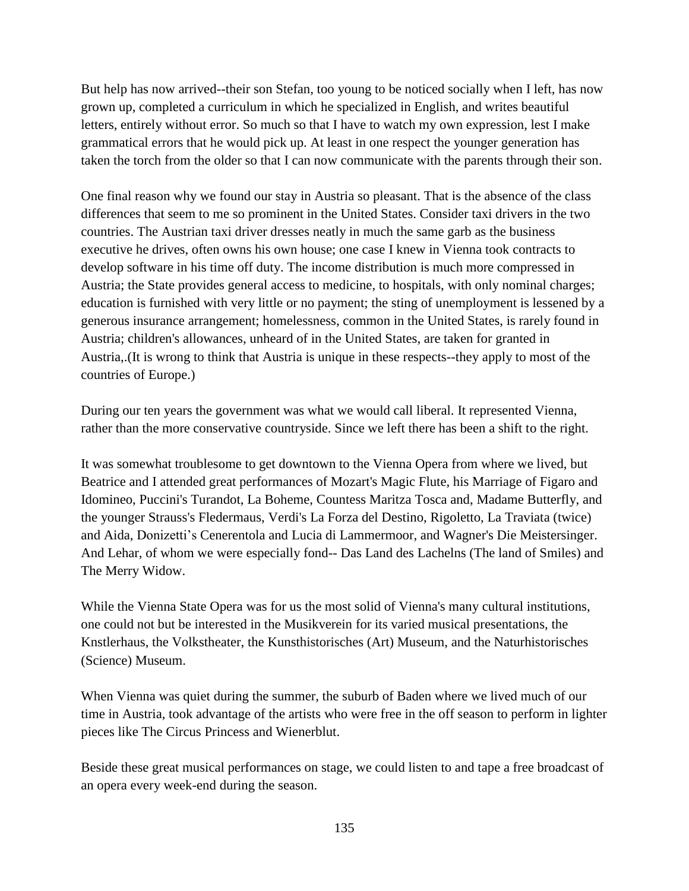But help has now arrived--their son Stefan, too young to be noticed socially when I left, has now grown up, completed a curriculum in which he specialized in English, and writes beautiful letters, entirely without error. So much so that I have to watch my own expression, lest I make grammatical errors that he would pick up. At least in one respect the younger generation has taken the torch from the older so that I can now communicate with the parents through their son.

One final reason why we found our stay in Austria so pleasant. That is the absence of the class differences that seem to me so prominent in the United States. Consider taxi drivers in the two countries. The Austrian taxi driver dresses neatly in much the same garb as the business executive he drives, often owns his own house; one case I knew in Vienna took contracts to develop software in his time off duty. The income distribution is much more compressed in Austria; the State provides general access to medicine, to hospitals, with only nominal charges; education is furnished with very little or no payment; the sting of unemployment is lessened by a generous insurance arrangement; homelessness, common in the United States, is rarely found in Austria; children's allowances, unheard of in the United States, are taken for granted in Austria,.(It is wrong to think that Austria is unique in these respects--they apply to most of the countries of Europe.)

During our ten years the government was what we would call liberal. It represented Vienna, rather than the more conservative countryside. Since we left there has been a shift to the right.

It was somewhat troublesome to get downtown to the Vienna Opera from where we lived, but Beatrice and I attended great performances of Mozart's Magic Flute, his Marriage of Figaro and Idomineo, Puccini's Turandot, La Boheme, Countess Maritza Tosca and, Madame Butterfly, and the younger Strauss's Fledermaus, Verdi's La Forza del Destino, Rigoletto, La Traviata (twice) and Aida, Donizetti's Cenerentola and Lucia di Lammermoor, and Wagner's Die Meistersinger. And Lehar, of whom we were especially fond-- Das Land des Lachelns (The land of Smiles) and The Merry Widow.

While the Vienna State Opera was for us the most solid of Vienna's many cultural institutions, one could not but be interested in the Musikverein for its varied musical presentations, the Knstlerhaus, the Volkstheater, the Kunsthistorisches (Art) Museum, and the Naturhistorisches (Science) Museum.

When Vienna was quiet during the summer, the suburb of Baden where we lived much of our time in Austria, took advantage of the artists who were free in the off season to perform in lighter pieces like The Circus Princess and Wienerblut.

Beside these great musical performances on stage, we could listen to and tape a free broadcast of an opera every week-end during the season.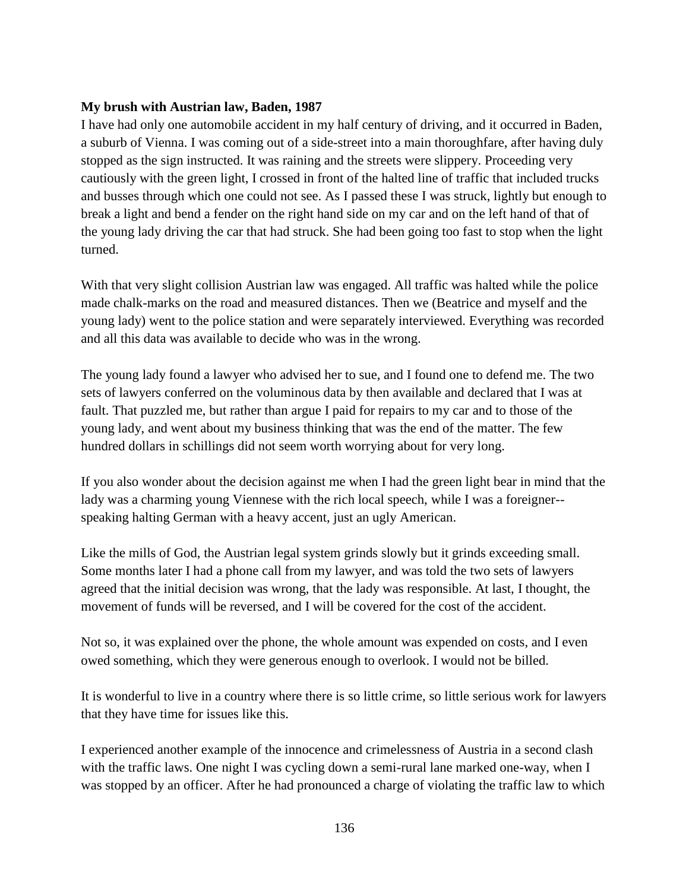## **My brush with Austrian law, Baden, 1987**

I have had only one automobile accident in my half century of driving, and it occurred in Baden, a suburb of Vienna. I was coming out of a side-street into a main thoroughfare, after having duly stopped as the sign instructed. It was raining and the streets were slippery. Proceeding very cautiously with the green light, I crossed in front of the halted line of traffic that included trucks and busses through which one could not see. As I passed these I was struck, lightly but enough to break a light and bend a fender on the right hand side on my car and on the left hand of that of the young lady driving the car that had struck. She had been going too fast to stop when the light turned.

With that very slight collision Austrian law was engaged. All traffic was halted while the police made chalk-marks on the road and measured distances. Then we (Beatrice and myself and the young lady) went to the police station and were separately interviewed. Everything was recorded and all this data was available to decide who was in the wrong.

The young lady found a lawyer who advised her to sue, and I found one to defend me. The two sets of lawyers conferred on the voluminous data by then available and declared that I was at fault. That puzzled me, but rather than argue I paid for repairs to my car and to those of the young lady, and went about my business thinking that was the end of the matter. The few hundred dollars in schillings did not seem worth worrying about for very long.

If you also wonder about the decision against me when I had the green light bear in mind that the lady was a charming young Viennese with the rich local speech, while I was a foreigner- speaking halting German with a heavy accent, just an ugly American.

Like the mills of God, the Austrian legal system grinds slowly but it grinds exceeding small. Some months later I had a phone call from my lawyer, and was told the two sets of lawyers agreed that the initial decision was wrong, that the lady was responsible. At last, I thought, the movement of funds will be reversed, and I will be covered for the cost of the accident.

Not so, it was explained over the phone, the whole amount was expended on costs, and I even owed something, which they were generous enough to overlook. I would not be billed.

It is wonderful to live in a country where there is so little crime, so little serious work for lawyers that they have time for issues like this.

I experienced another example of the innocence and crimelessness of Austria in a second clash with the traffic laws. One night I was cycling down a semi-rural lane marked one-way, when I was stopped by an officer. After he had pronounced a charge of violating the traffic law to which